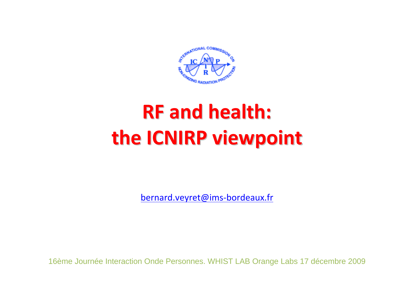

# **RF and health: the ICNIRP viewpoint viewpoint**

bernard.veyret@ims‐bordeaux.fr

16ème Journée Interaction Onde Personnes. WHIST LAB Orange Labs 17 décembre 2009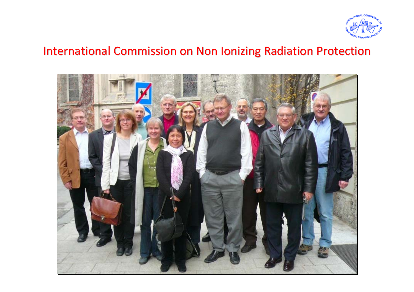

#### International Commission on Non Ionizing Radiation Protection

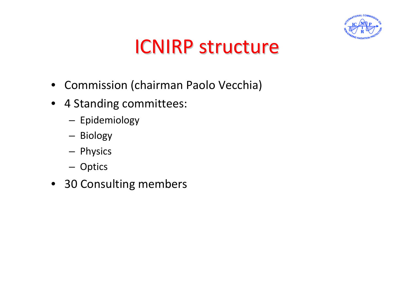

#### **ICNIRP structure**

- Commission (chairman Paolo Vecchia)
- 4 Standing committees:
	- Epidemiology
	- Biology
	- Physics
	- Optics
- 30 Consulting members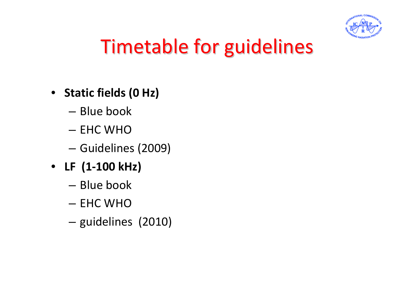

## Timetable for guidelines

#### • **Static fields (0 Hz)**

- Blue book
- EHC WHO
- Guidelines (2009)
- **LF (1‐100 kHz)**
	- Blue book
	- EHC WHO
	- guidelines (2010)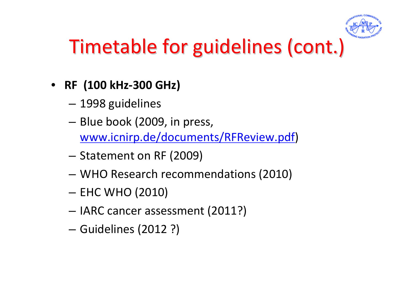

## Timetable for guidelines (cont.)

- **RF (100 kHz‐300 GHz)**
	- 1998 guidelines
	- Blue book (2009, in press, www.icnirp.de/documents/RFReview.pdf)
	- Statement on RF (2009)
	- WHO Research recommendations (2010)
	- EHC WHO (2010)
	- IARC cancer assessment (2011?)
	- Guidelines (2012 ?)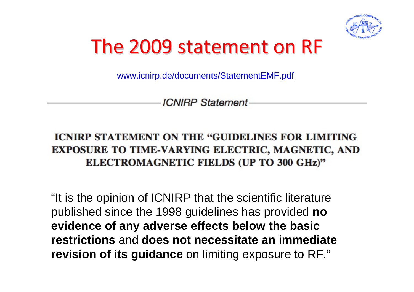

#### The 2009 statement on RF

www.icnirp.de/documents/StatementEMF.pdf

**ICNIRP Statement** 

#### **ICNIRP STATEMENT ON THE "GUIDELINES FOR LIMITING" EXPOSURE TO TIME-VARYING ELECTRIC, MAGNETIC, AND** ELECTROMAGNETIC FIELDS (UP TO 300 GHz)"

"It is the opinion of ICNIRP that the scientific literature published since the 1998 guidelines has provided **no evidence of any adverse effects below the basic restrictions** and **does not necessitate an immediate revision of its guidance** on limiting exposure to RF."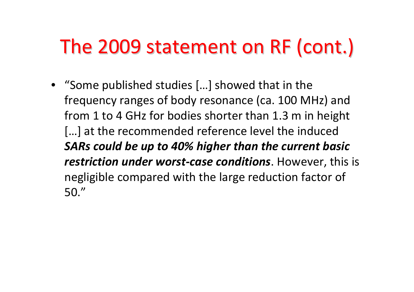## The 2009 statement on RF (cont.)

• "Some published studies […] showed that in the frequency ranges of body resonance (ca. 100 MHz) and from 1 to 4 GHz for bodies shorter than 1.3 <sup>m</sup> in height […] at the recommended reference level the induced *SARs could be up to 40% higher than the current basic restriction under worst‐case conditions*. However, this is negligible compared with the large reduction factor of 50."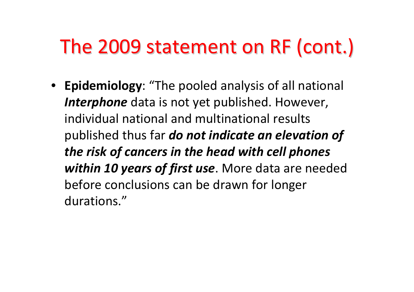### The 2009 statement on RF (cont.)

• **Epidemiology**: "The pooled analysis of all national *Interphone* data is not yet published. However, individual national and multinational results published thus far *do not indicate an elevation of the risk of cancers in the head with cell phones within 10 years of first use*. More data are needed before conclusions can be drawn for longer durations."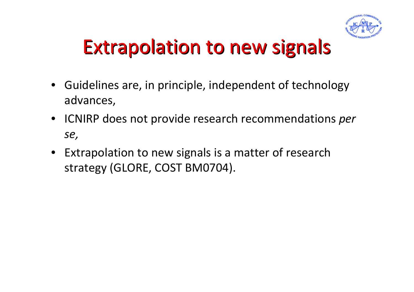

## Extrapolation to new signals

- Guidelines are, in principle, independent of technology advances,
- ICNIRP does not provide research recommendations *per se,*
- Extrapolation to new signals is <sup>a</sup> matter of research strategy (GLORE, COST BM0704).